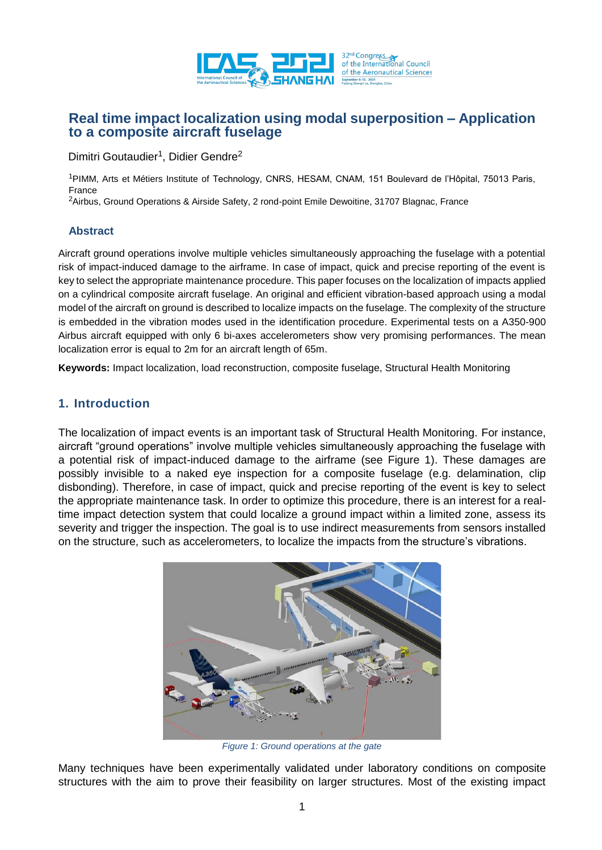

# **Real time impact localization using modal superposition – Application to a composite aircraft fuselage**

Dimitri Goutaudier<sup>1</sup>, Didier Gendre<sup>2</sup>

<sup>1</sup>PIMM, Arts et Métiers Institute of Technology, CNRS, HESAM, CNAM, 151 Boulevard de l'Hôpital, 75013 Paris, France

<sup>2</sup>Airbus, Ground Operations & Airside Safety, 2 rond-point Emile Dewoitine, 31707 Blagnac, France

### **Abstract**

Aircraft ground operations involve multiple vehicles simultaneously approaching the fuselage with a potential risk of impact-induced damage to the airframe. In case of impact, quick and precise reporting of the event is key to select the appropriate maintenance procedure. This paper focuses on the localization of impacts applied on a cylindrical composite aircraft fuselage. An original and efficient vibration-based approach using a modal model of the aircraft on ground is described to localize impacts on the fuselage. The complexity of the structure is embedded in the vibration modes used in the identification procedure. Experimental tests on a A350-900 Airbus aircraft equipped with only 6 bi-axes accelerometers show very promising performances. The mean localization error is equal to 2m for an aircraft length of 65m.

**Keywords:** Impact localization, load reconstruction, composite fuselage, Structural Health Monitoring

# **1. Introduction**

The localization of impact events is an important task of Structural Health Monitoring. For instance, aircraft "ground operations" involve multiple vehicles simultaneously approaching the fuselage with a potential risk of impact-induced damage to the airframe (see Figure 1). These damages are possibly invisible to a naked eye inspection for a composite fuselage (e.g. delamination, clip disbonding). Therefore, in case of impact, quick and precise reporting of the event is key to select the appropriate maintenance task. In order to optimize this procedure, there is an interest for a realtime impact detection system that could localize a ground impact within a limited zone, assess its severity and trigger the inspection. The goal is to use indirect measurements from sensors installed on the structure, such as accelerometers, to localize the impacts from the structure's vibrations.



*Figure 1: Ground operations at the gate*

Many techniques have been experimentally validated under laboratory conditions on composite structures with the aim to prove their feasibility on larger structures. Most of the existing impact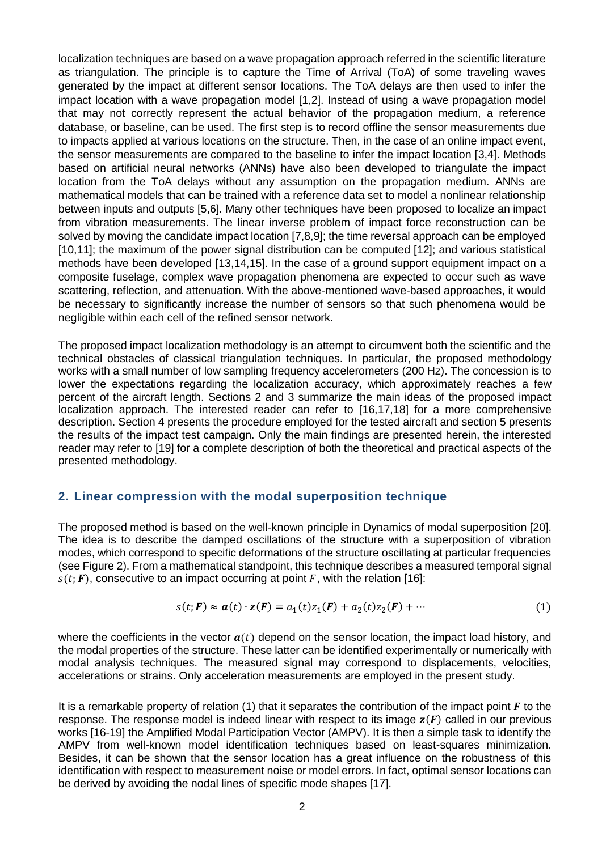localization techniques are based on a wave propagation approach referred in the scientific literature as triangulation. The principle is to capture the Time of Arrival (ToA) of some traveling waves generated by the impact at different sensor locations. The ToA delays are then used to infer the impact location with a wave propagation model [1,2]. Instead of using a wave propagation model that may not correctly represent the actual behavior of the propagation medium, a reference database, or baseline, can be used. The first step is to record offline the sensor measurements due to impacts applied at various locations on the structure. Then, in the case of an online impact event, the sensor measurements are compared to the baseline to infer the impact location [3,4]. Methods based on artificial neural networks (ANNs) have also been developed to triangulate the impact location from the ToA delays without any assumption on the propagation medium. ANNs are mathematical models that can be trained with a reference data set to model a nonlinear relationship between inputs and outputs [5,6]. Many other techniques have been proposed to localize an impact from vibration measurements. The linear inverse problem of impact force reconstruction can be solved by moving the candidate impact location [7,8,9]; the time reversal approach can be employed [10,11]; the maximum of the power signal distribution can be computed [12]; and various statistical methods have been developed [13,14,15]. In the case of a ground support equipment impact on a composite fuselage, complex wave propagation phenomena are expected to occur such as wave scattering, reflection, and attenuation. With the above-mentioned wave-based approaches, it would be necessary to significantly increase the number of sensors so that such phenomena would be negligible within each cell of the refined sensor network.

The proposed impact localization methodology is an attempt to circumvent both the scientific and the technical obstacles of classical triangulation techniques. In particular, the proposed methodology works with a small number of low sampling frequency accelerometers (200 Hz). The concession is to lower the expectations regarding the localization accuracy, which approximately reaches a few percent of the aircraft length. Sections 2 and 3 summarize the main ideas of the proposed impact localization approach. The interested reader can refer to [16,17,18] for a more comprehensive description. Section 4 presents the procedure employed for the tested aircraft and section 5 presents the results of the impact test campaign. Only the main findings are presented herein, the interested reader may refer to [19] for a complete description of both the theoretical and practical aspects of the presented methodology.

### **2. Linear compression with the modal superposition technique**

The proposed method is based on the well-known principle in Dynamics of modal superposition [20]. The idea is to describe the damped oscillations of the structure with a superposition of vibration modes, which correspond to specific deformations of the structure oscillating at particular frequencies (see Figure 2). From a mathematical standpoint, this technique describes a measured temporal signal  $s(t; F)$ , consecutive to an impact occurring at point F, with the relation [16]:

$$
s(t; F) \approx a(t) \cdot z(F) = a_1(t)z_1(F) + a_2(t)z_2(F) + \cdots
$$
 (1)

where the coefficients in the vector  $a(t)$  depend on the sensor location, the impact load history, and the modal properties of the structure. These latter can be identified experimentally or numerically with modal analysis techniques. The measured signal may correspond to displacements, velocities, accelerations or strains. Only acceleration measurements are employed in the present study.

It is a remarkable property of relation (1) that it separates the contribution of the impact point  $F$  to the response. The response model is indeed linear with respect to its image  $z(F)$  called in our previous works [16-19] the Amplified Modal Participation Vector (AMPV). It is then a simple task to identify the AMPV from well-known model identification techniques based on least-squares minimization. Besides, it can be shown that the sensor location has a great influence on the robustness of this identification with respect to measurement noise or model errors. In fact, optimal sensor locations can be derived by avoiding the nodal lines of specific mode shapes [17].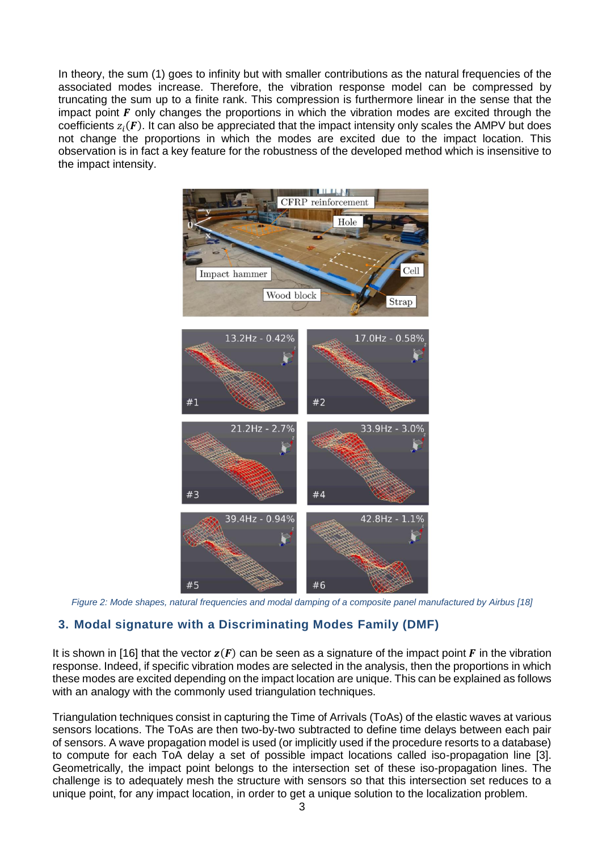In theory, the sum (1) goes to infinity but with smaller contributions as the natural frequencies of the associated modes increase. Therefore, the vibration response model can be compressed by truncating the sum up to a finite rank. This compression is furthermore linear in the sense that the impact point  $\vec{F}$  only changes the proportions in which the vibration modes are excited through the coefficients  $z_i(\textbf{\textit{F}})$ . It can also be appreciated that the impact intensity only scales the AMPV but does not change the proportions in which the modes are excited due to the impact location. This observation is in fact a key feature for the robustness of the developed method which is insensitive to the impact intensity.



*Figure 2: Mode shapes, natural frequencies and modal damping of a composite panel manufactured by Airbus [18]*

## **3. Modal signature with a Discriminating Modes Family (DMF)**

It is shown in [16] that the vector  $z(F)$  can be seen as a signature of the impact point F in the vibration response. Indeed, if specific vibration modes are selected in the analysis, then the proportions in which these modes are excited depending on the impact location are unique. This can be explained as follows with an analogy with the commonly used triangulation techniques.

Triangulation techniques consist in capturing the Time of Arrivals (ToAs) of the elastic waves at various sensors locations. The ToAs are then two-by-two subtracted to define time delays between each pair of sensors. A wave propagation model is used (or implicitly used if the procedure resorts to a database) to compute for each ToA delay a set of possible impact locations called iso-propagation line [3]. Geometrically, the impact point belongs to the intersection set of these iso-propagation lines. The challenge is to adequately mesh the structure with sensors so that this intersection set reduces to a unique point, for any impact location, in order to get a unique solution to the localization problem.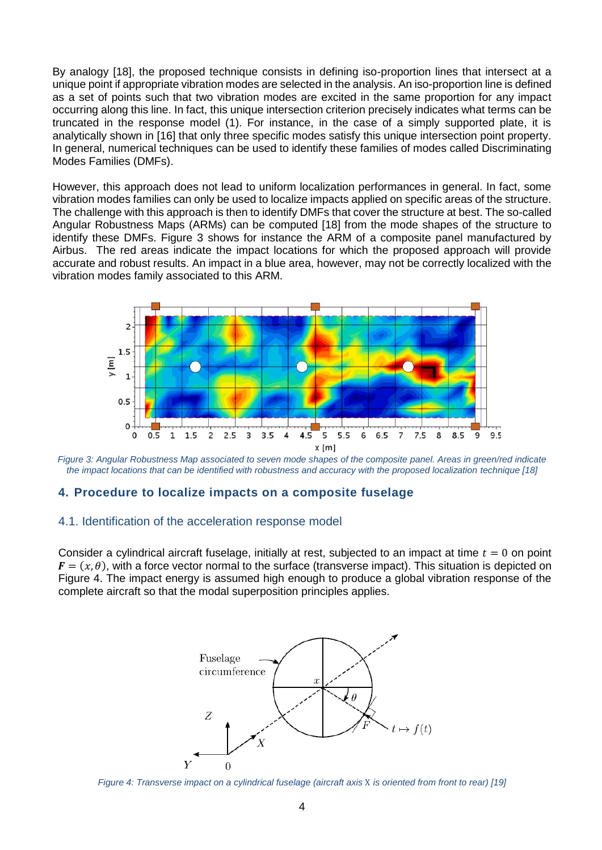By analogy [18], the proposed technique consists in defining iso-proportion lines that intersect at a unique point if appropriate vibration modes are selected in the analysis. An iso-proportion line is defined as a set of points such that two vibration modes are excited in the same proportion for any impact occurring along this line. In fact, this unique intersection criterion precisely indicates what terms can be truncated in the response model (1). For instance, in the case of a simply supported plate, it is analytically shown in [16] that only three specific modes satisfy this unique intersection point property. In general, numerical techniques can be used to identify these families of modes called Discriminating Modes Families (DMFs).

However, this approach does not lead to uniform localization performances in general. In fact, some vibration modes families can only be used to localize impacts applied on specific areas of the structure. The challenge with this approach is then to identify DMFs that cover the structure at best. The so-called Angular Robustness Maps (ARMs) can be computed [18] from the mode shapes of the structure to identify these DMFs. Figure 3 shows for instance the ARM of a composite panel manufactured by Airbus. The red areas indicate the impact locations for which the proposed approach will provide accurate and robust results. An impact in a blue area, however, may not be correctly localized with the vibration modes family associated to this ARM.



*Figure 3: Angular Robustness Map associated to seven mode shapes of the composite panel. Areas in green/red indicate the impact locations that can be identified with robustness and accuracy with the proposed localization technique [18]*

### **4. Procedure to localize impacts on a composite fuselage**

#### 4.1. Identification of the acceleration response model

Consider a cylindrical aircraft fuselage, initially at rest, subjected to an impact at time  $t = 0$  on point  $\mathbf{F} = (x, \theta)$ , with a force vector normal to the surface (transverse impact). This situation is depicted on Figure 4. The impact energy is assumed high enough to produce a global vibration response of the complete aircraft so that the modal superposition principles applies.



*Figure 4: Transverse impact on a cylindrical fuselage (aircraft axis* X *is oriented from front to rear) [19]*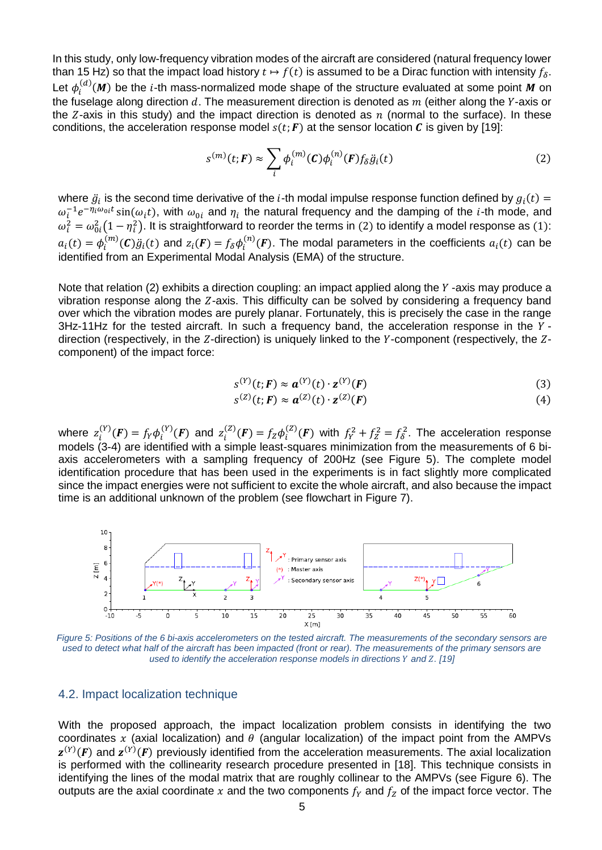In this study, only low-frequency vibration modes of the aircraft are considered (natural frequency lower than 15 Hz) so that the impact load history  $t \mapsto f(t)$  is assumed to be a Dirac function with intensity  $f_{\delta}$ . Let  $\phi^{(d)}_i(M)$  be the *i*-th mass-normalized mode shape of the structure evaluated at some point M on the fuselage along direction  $d.$  The measurement direction is denoted as  $m$  (either along the Y-axis or the  $Z$ -axis in this study) and the impact direction is denoted as  $n$  (normal to the surface). In these conditions, the acceleration response model  $s(t; F)$  at the sensor location  $C$  is given by [19]:

$$
s^{(m)}(t;F) \approx \sum_{i} \phi_i^{(m)}(C) \phi_i^{(n)}(F) f_\delta \ddot{g}_i(t)
$$
 (2)

where  $\ddot{g}_i$  is the second time derivative of the *i*-th modal impulse response function defined by  $g_i(t)$  =  $\omega_l^{-1}e^{-\eta_l\omega_{0}t}$  sin $(\omega_i t)$ , with  $\omega_{0i}$  and  $\eta_i$  the natural frequency and the damping of the *i*-th mode, and  $\omega_i^2 = \omega_{0i}^2(1-\eta_i^2)$ . It is straightforward to reorder the terms in (2) to identify a model response as (1):  $a_i(t) = \phi_i^{(m)}(C) \ddot{g}_i(t)$  and  $z_i(F) = f_\delta \phi_i^{(n)}(F)$ . The modal parameters in the coefficients  $a_i(t)$  can be identified from an Experimental Modal Analysis (EMA) of the structure.

Note that relation (2) exhibits a direction coupling: an impact applied along the  $Y$ -axis may produce a vibration response along the  $Z$ -axis. This difficulty can be solved by considering a frequency band over which the vibration modes are purely planar. Fortunately, this is precisely the case in the range  $3$ Hz-11Hz for the tested aircraft. In such a frequency band, the acceleration response in the  $Y$ direction (respectively, in the  $Z$ -direction) is uniquely linked to the  $Y$ -component (respectively, the  $Z$ component) of the impact force:

$$
s^{(Y)}(t;F) \approx \boldsymbol{a}^{(Y)}(t) \cdot \mathbf{z}^{(Y)}(F) \tag{3}
$$

$$
s^{(Z)}(t;F) \approx \mathbf{a}^{(Z)}(t) \cdot \mathbf{z}^{(Z)}(F) \tag{4}
$$

where  $z_i^{(Y)}(F) = f_Y \phi_i^{(Y)}(F)$  and  $z_i^{(Z)}(F) = f_Z \phi_i^{(Z)}(F)$  with  $f_Y^2 + f_Z^2 = f_\delta^2$ . The acceleration response models (3-4) are identified with a simple least-squares minimization from the measurements of 6 biaxis accelerometers with a sampling frequency of 200Hz (see Figure 5). The complete model identification procedure that has been used in the experiments is in fact slightly more complicated since the impact energies were not sufficient to excite the whole aircraft, and also because the impact time is an additional unknown of the problem (see flowchart in Figure 7).



*Figure 5: Positions of the 6 bi-axis accelerometers on the tested aircraft. The measurements of the secondary sensors are used to detect what half of the aircraft has been impacted (front or rear). The measurements of the primary sensors are used to identify the acceleration response models in directions Y and Z. [19]* 

#### 4.2. Impact localization technique

With the proposed approach, the impact localization problem consists in identifying the two coordinates x (axial localization) and  $\theta$  (angular localization) of the impact point from the AMPVs  $z^{(Y)}(F)$  and  $z^{(Y)}(F)$  previously identified from the acceleration measurements. The axial localization is performed with the collinearity research procedure presented in [18]. This technique consists in identifying the lines of the modal matrix that are roughly collinear to the AMPVs (see Figure 6). The outputs are the axial coordinate x and the two components  $f_Y$  and  $f_Z$  of the impact force vector. The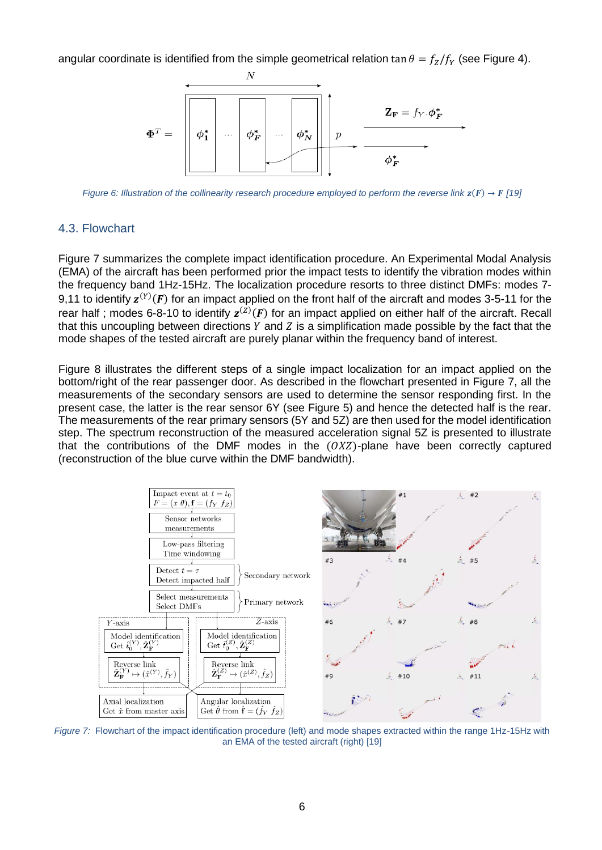angular coordinate is identified from the simple geometrical relation tan  $\theta = f_z/f_y$  (see Figure 4).



*Figure 6: Illustration of the collinearity research procedure employed to perform the reverse link*  $z(F) \rightarrow F$  *[19]* 

### 4.3. Flowchart

Figure 7 summarizes the complete impact identification procedure. An Experimental Modal Analysis (EMA) of the aircraft has been performed prior the impact tests to identify the vibration modes within the frequency band 1Hz-15Hz. The localization procedure resorts to three distinct DMFs: modes 7- 9,11 to identify  $z^{(Y)}(F)$  for an impact applied on the front half of the aircraft and modes 3-5-11 for the rear half; modes 6-8-10 to identify  $z^{(Z)}(F)$  for an impact applied on either half of the aircraft. Recall that this uncoupling between directions  $Y$  and  $Z$  is a simplification made possible by the fact that the mode shapes of the tested aircraft are purely planar within the frequency band of interest.

Figure 8 illustrates the different steps of a single impact localization for an impact applied on the bottom/right of the rear passenger door. As described in the flowchart presented in Figure 7, all the measurements of the secondary sensors are used to determine the sensor responding first. In the present case, the latter is the rear sensor 6Y (see Figure 5) and hence the detected half is the rear. The measurements of the rear primary sensors (5Y and 5Z) are then used for the model identification step. The spectrum reconstruction of the measured acceleration signal 5Z is presented to illustrate that the contributions of the DMF modes in the  $(OXZ)$ -plane have been correctly captured (reconstruction of the blue curve within the DMF bandwidth).



*Figure 7:* Flowchart of the impact identification procedure (left) and mode shapes extracted within the range 1Hz-15Hz with an EMA of the tested aircraft (right) [19]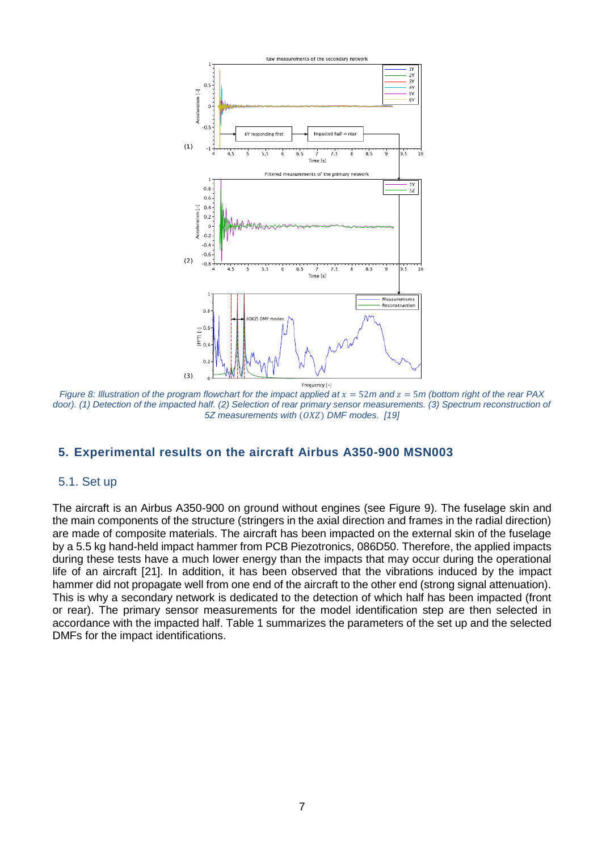

*Figure 8: Illustration of the program flowchart for the impact applied at*  $x = 52$ *m and*  $z = 5$ *m (bottom right of the rear PAX* door). (1) Detection of the impacted half. (2) Selection of rear primary sensor measurements. (3) Spectrum reconstruction of *5Z measurements with*  $(OXZ)$  *DMF modes.* [19]

### **5. Experimental results on the aircraft Airbus A350-900 MSN003**

#### 5.1. Set up

The aircraft is an Airbus A350-900 on ground without engines (see Figure 9). The fuselage skin and the main components of the structure (stringers in the axial direction and frames in the radial direction) are made of composite materials. The aircraft has been impacted on the external skin of the fuselage by a 5.5 kg hand-held impact hammer from PCB Piezotronics, 086D50. Therefore, the applied impacts during these tests have a much lower energy than the impacts that may occur during the operational life of an aircraft [21]. In addition, it has been observed that the vibrations induced by the impact hammer did not propagate well from one end of the aircraft to the other end (strong signal attenuation). This is why a secondary network is dedicated to the detection of which half has been impacted (front or rear). The primary sensor measurements for the model identification step are then selected in accordance with the impacted half. Table 1 summarizes the parameters of the set up and the selected DMFs for the impact identifications.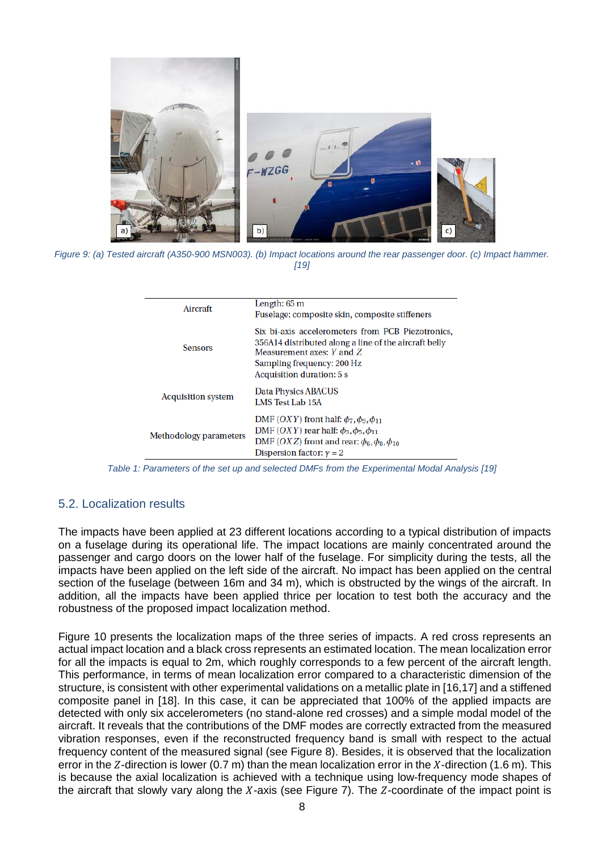

*Figure 9: (a) Tested aircraft (A350-900 MSN003). (b) Impact locations around the rear passenger door. (c) Impact hammer. [19]*

| Aircraft                  | Length: 65 m<br>Fuselage: composite skin, composite stiffeners                                                                                                                                                |
|---------------------------|---------------------------------------------------------------------------------------------------------------------------------------------------------------------------------------------------------------|
| <b>Sensors</b>            | Six bi-axis accelerometers from PCB Piezotronics,<br>356A14 distributed along a line of the aircraft belly<br>Measurement axes: Y and Z<br>Sampling frequency: 200 Hz<br>Acquisition duration: 5 s            |
| <b>Acquisition system</b> | Data Physics ABACUS<br>LMS Test Lab 15A                                                                                                                                                                       |
| Methodology parameters    | DMF (OXY) front half: $\phi_7$ , $\phi_9$ , $\phi_{11}$<br>DMF (OXY) rear half: $\phi_3, \phi_5, \phi_{11}$<br>DMF (OXZ) front and rear: $\phi_6$ , $\phi_8$ , $\phi_{10}$<br>Dispersion factor: $\gamma = 2$ |

*Table 1: Parameters of the set up and selected DMFs from the Experimental Modal Analysis [19]*

## 5.2. Localization results

The impacts have been applied at 23 different locations according to a typical distribution of impacts on a fuselage during its operational life. The impact locations are mainly concentrated around the passenger and cargo doors on the lower half of the fuselage. For simplicity during the tests, all the impacts have been applied on the left side of the aircraft. No impact has been applied on the central section of the fuselage (between 16m and 34 m), which is obstructed by the wings of the aircraft. In addition, all the impacts have been applied thrice per location to test both the accuracy and the robustness of the proposed impact localization method.

Figure 10 presents the localization maps of the three series of impacts. A red cross represents an actual impact location and a black cross represents an estimated location. The mean localization error for all the impacts is equal to 2m, which roughly corresponds to a few percent of the aircraft length. This performance, in terms of mean localization error compared to a characteristic dimension of the structure, is consistent with other experimental validations on a metallic plate in [16,17] and a stiffened composite panel in [18]. In this case, it can be appreciated that 100% of the applied impacts are detected with only six accelerometers (no stand-alone red crosses) and a simple modal model of the aircraft. It reveals that the contributions of the DMF modes are correctly extracted from the measured vibration responses, even if the reconstructed frequency band is small with respect to the actual frequency content of the measured signal (see Figure 8). Besides, it is observed that the localization error in the Z-direction is lower (0.7 m) than the mean localization error in the X-direction (1.6 m). This is because the axial localization is achieved with a technique using low-frequency mode shapes of the aircraft that slowly vary along the  $X$ -axis (see Figure 7). The  $Z$ -coordinate of the impact point is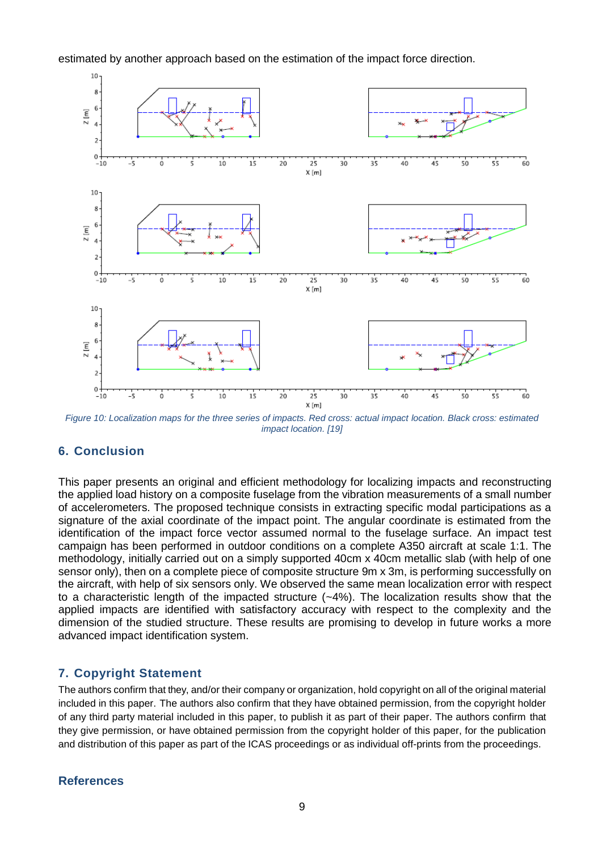estimated by another approach based on the estimation of the impact force direction.



*Figure 10: Localization maps for the three series of impacts. Red cross: actual impact location. Black cross: estimated impact location. [19]*

# **6. Conclusion**

This paper presents an original and efficient methodology for localizing impacts and reconstructing the applied load history on a composite fuselage from the vibration measurements of a small number of accelerometers. The proposed technique consists in extracting specific modal participations as a signature of the axial coordinate of the impact point. The angular coordinate is estimated from the identification of the impact force vector assumed normal to the fuselage surface. An impact test campaign has been performed in outdoor conditions on a complete A350 aircraft at scale 1:1. The methodology, initially carried out on a simply supported 40cm x 40cm metallic slab (with help of one sensor only), then on a complete piece of composite structure 9m x 3m, is performing successfully on the aircraft, with help of six sensors only. We observed the same mean localization error with respect to a characteristic length of the impacted structure  $(-4%)$ . The localization results show that the applied impacts are identified with satisfactory accuracy with respect to the complexity and the dimension of the studied structure. These results are promising to develop in future works a more advanced impact identification system.

# **7. Copyright Statement**

The authors confirm that they, and/or their company or organization, hold copyright on all of the original material included in this paper. The authors also confirm that they have obtained permission, from the copyright holder of any third party material included in this paper, to publish it as part of their paper. The authors confirm that they give permission, or have obtained permission from the copyright holder of this paper, for the publication and distribution of this paper as part of the ICAS proceedings or as individual off-prints from the proceedings.

## **References**